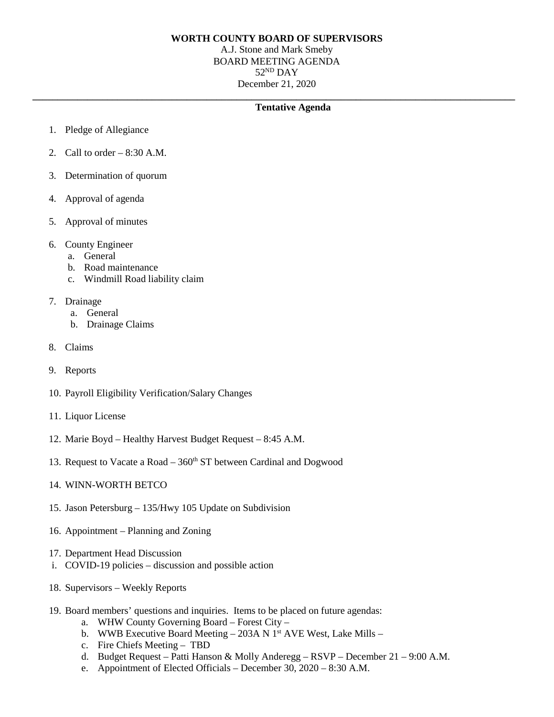## **WORTH COUNTY BOARD OF SUPERVISORS**

A.J. Stone and Mark Smeby BOARD MEETING AGENDA  $52<sup>ND</sup>$  DAY December 21, 2020

**\_\_\_\_\_\_\_\_\_\_\_\_\_\_\_\_\_\_\_\_\_\_\_\_\_\_\_\_\_\_\_\_\_\_\_\_\_\_\_\_\_\_\_\_\_\_\_\_\_\_\_\_\_\_\_\_\_\_\_\_\_\_\_\_\_\_\_\_\_\_\_\_\_\_\_\_\_\_\_\_\_\_\_\_\_\_\_\_\_\_\_\_\_\_\_\_\_**

## **Tentative Agenda**

- 1. Pledge of Allegiance
- 2. Call to order  $-8:30$  A.M.
- 3. Determination of quorum
- 4. Approval of agenda
- 5. Approval of minutes
- 6. County Engineer
	- a. General
	- b. Road maintenance
	- c. Windmill Road liability claim
- 7. Drainage
	- a. General
	- b. Drainage Claims
- 8. Claims
- 9. Reports
- 10. Payroll Eligibility Verification/Salary Changes
- 11. Liquor License
- 12. Marie Boyd Healthy Harvest Budget Request 8:45 A.M.
- 13. Request to Vacate a Road  $-360<sup>th</sup>$  ST between Cardinal and Dogwood
- 14. WINN-WORTH BETCO
- 15. Jason Petersburg 135/Hwy 105 Update on Subdivision
- 16. Appointment Planning and Zoning
- 17. Department Head Discussion
- i. COVID-19 policies discussion and possible action
- 18. Supervisors Weekly Reports
- 19. Board members' questions and inquiries. Items to be placed on future agendas:
	- a. WHW County Governing Board Forest City –
	- b. WWB Executive Board Meeting 203A N  $1<sup>st</sup>$  AVE West, Lake Mills –
	- c. Fire Chiefs Meeting TBD
	- d. Budget Request Patti Hanson & Molly Anderegg RSVP December 21 9:00 A.M.
	- e. Appointment of Elected Officials December 30, 2020 8:30 A.M.